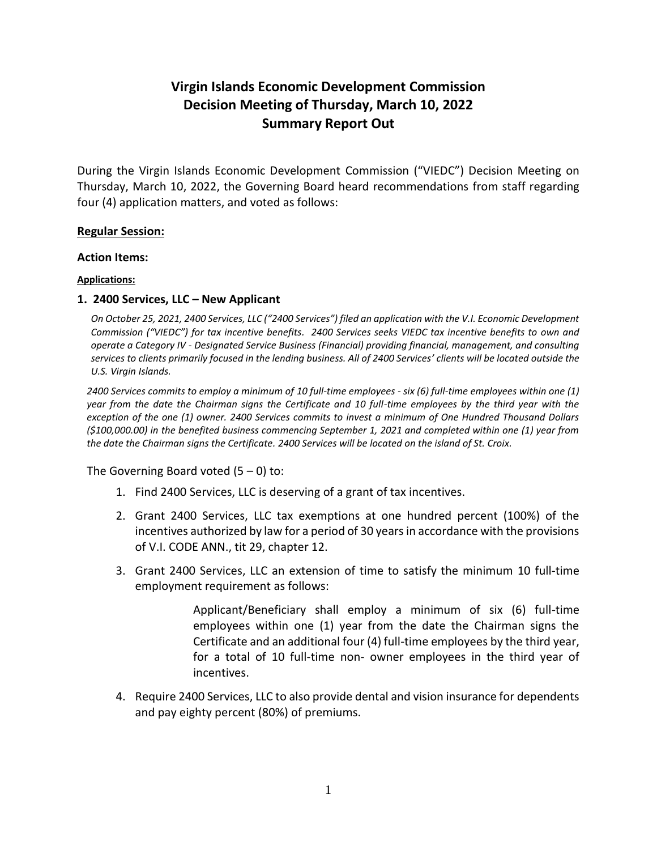# **Virgin Islands Economic Development Commission Decision Meeting of Thursday, March 10, 2022 Summary Report Out**

During the Virgin Islands Economic Development Commission ("VIEDC") Decision Meeting on Thursday, March 10, 2022, the Governing Board heard recommendations from staff regarding four (4) application matters, and voted as follows:

### **Regular Session:**

#### **Action Items:**

### **Applications:**

# **1. 2400 Services, LLC – New Applicant**

*On October 25, 2021, 2400 Services, LLC ("2400 Services") filed an application with the V.I. Economic Development Commission ("VIEDC") for tax incentive benefits. 2400 Services seeks VIEDC tax incentive benefits to own and operate a Category IV - Designated Service Business (Financial) providing financial, management, and consulting services to clients primarily focused in the lending business. All of 2400 Services' clients will be located outside the U.S. Virgin Islands.*

*2400 Services commits to employ a minimum of 10 full-time employees - six (6) full-time employees within one (1) year from the date the Chairman signs the Certificate and 10 full-time employees by the third year with the exception of the one (1) owner. 2400 Services commits to invest a minimum of One Hundred Thousand Dollars (\$100,000.00) in the benefited business commencing September 1, 2021 and completed within one (1) year from the date the Chairman signs the Certificate. 2400 Services will be located on the island of St. Croix.*

The Governing Board voted  $(5 - 0)$  to:

- 1. Find 2400 Services, LLC is deserving of a grant of tax incentives.
- 2. Grant 2400 Services, LLC tax exemptions at one hundred percent (100%) of the incentives authorized by law for a period of 30 years in accordance with the provisions of V.I. CODE ANN., tit 29, chapter 12.
- 3. Grant 2400 Services, LLC an extension of time to satisfy the minimum 10 full-time employment requirement as follows:

Applicant/Beneficiary shall employ a minimum of six (6) full-time employees within one (1) year from the date the Chairman signs the Certificate and an additional four (4) full-time employees by the third year, for a total of 10 full-time non- owner employees in the third year of incentives.

4. Require 2400 Services, LLC to also provide dental and vision insurance for dependents and pay eighty percent (80%) of premiums.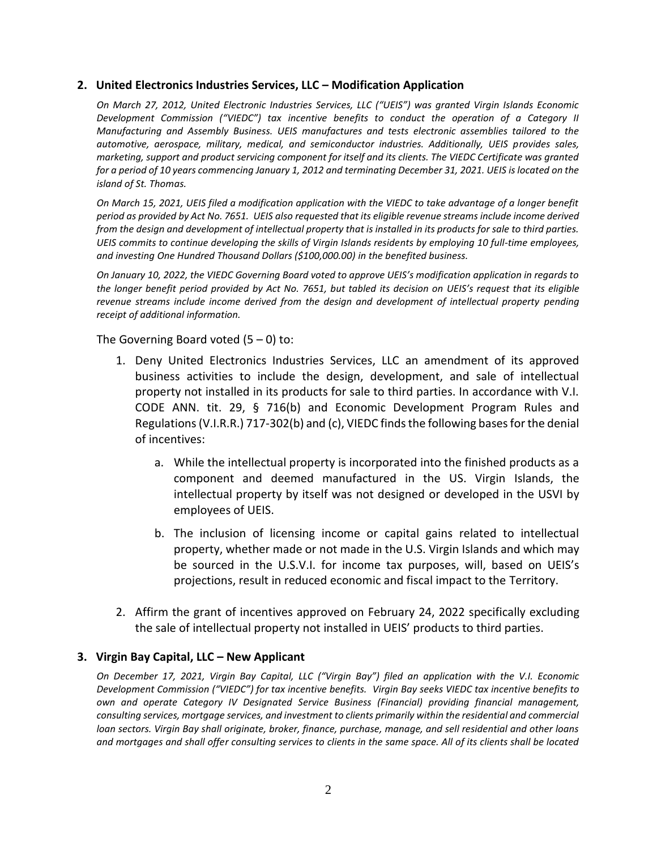#### **2. United Electronics Industries Services, LLC – Modification Application**

*On March 27, 2012, United Electronic Industries Services, LLC ("UEIS") was granted Virgin Islands Economic Development Commission ("VIEDC") tax incentive benefits to conduct the operation of a Category II Manufacturing and Assembly Business. UEIS manufactures and tests electronic assemblies tailored to the automotive, aerospace, military, medical, and semiconductor industries. Additionally, UEIS provides sales, marketing, support and product servicing component for itself and its clients. The VIEDC Certificate was granted*  for a period of 10 years commencing January 1, 2012 and terminating December 31, 2021. UEIS is located on the *island of St. Thomas.*

*On March 15, 2021, UEIS filed a modification application with the VIEDC to take advantage of a longer benefit period as provided by Act No. 7651. UEIS also requested that its eligible revenue streams include income derived from the design and development of intellectual property that is installed in its products for sale to third parties. UEIS commits to continue developing the skills of Virgin Islands residents by employing 10 full-time employees, and investing One Hundred Thousand Dollars (\$100,000.00) in the benefited business.*

*On January 10, 2022, the VIEDC Governing Board voted to approve UEIS's modification application in regards to the longer benefit period provided by Act No. 7651, but tabled its decision on UEIS's request that its eligible revenue streams include income derived from the design and development of intellectual property pending receipt of additional information.*

The Governing Board voted  $(5 - 0)$  to:

- 1. Deny United Electronics Industries Services, LLC an amendment of its approved business activities to include the design, development, and sale of intellectual property not installed in its products for sale to third parties. In accordance with V.I. CODE ANN. tit. 29, § 716(b) and Economic Development Program Rules and Regulations (V.I.R.R.) 717-302(b) and (c), VIEDC finds the following bases for the denial of incentives:
	- a. While the intellectual property is incorporated into the finished products as a component and deemed manufactured in the US. Virgin Islands, the intellectual property by itself was not designed or developed in the USVI by employees of UEIS.
	- b. The inclusion of licensing income or capital gains related to intellectual property, whether made or not made in the U.S. Virgin Islands and which may be sourced in the U.S.V.I. for income tax purposes, will, based on UEIS's projections, result in reduced economic and fiscal impact to the Territory.
- 2. Affirm the grant of incentives approved on February 24, 2022 specifically excluding the sale of intellectual property not installed in UEIS' products to third parties.

# **3. Virgin Bay Capital, LLC – New Applicant**

*On December 17, 2021, Virgin Bay Capital, LLC ("Virgin Bay") filed an application with the V.I. Economic Development Commission ("VIEDC") for tax incentive benefits. Virgin Bay seeks VIEDC tax incentive benefits to own and operate Category IV Designated Service Business (Financial) providing financial management, consulting services, mortgage services, and investment to clients primarily within the residential and commercial loan sectors. Virgin Bay shall originate, broker, finance, purchase, manage, and sell residential and other loans and mortgages and shall offer consulting services to clients in the same space. All of its clients shall be located*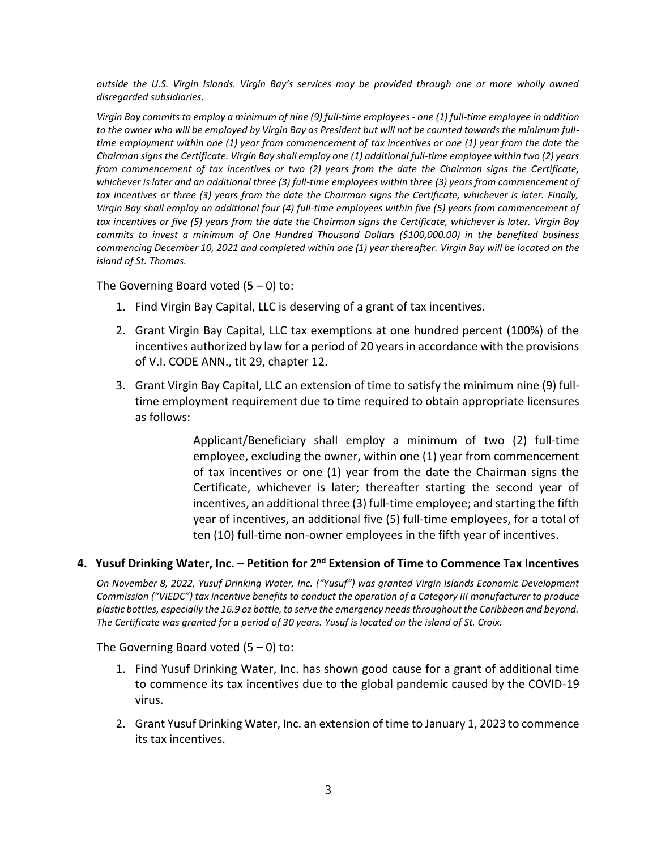*outside the U.S. Virgin Islands. Virgin Bay's services may be provided through one or more wholly owned disregarded subsidiaries.*

*Virgin Bay commits to employ a minimum of nine (9) full-time employees - one (1) full-time employee in addition to the owner who will be employed by Virgin Bay as President but will not be counted towards the minimum fulltime employment within one (1) year from commencement of tax incentives or one (1) year from the date the Chairman signs the Certificate. Virgin Bay shall employ one (1) additional full-time employee within two (2) years from commencement of tax incentives or two (2) years from the date the Chairman signs the Certificate,*  whichever is later and an additional three (3) full-time employees within three (3) years from commencement of *tax incentives or three (3) years from the date the Chairman signs the Certificate, whichever is later. Finally, Virgin Bay shall employ an additional four (4) full-time employees within five (5) years from commencement of tax incentives or five (5) years from the date the Chairman signs the Certificate, whichever is later. Virgin Bay commits to invest a minimum of One Hundred Thousand Dollars (\$100,000.00) in the benefited business commencing December 10, 2021 and completed within one (1) year thereafter. Virgin Bay will be located on the island of St. Thomas.*

The Governing Board voted  $(5 - 0)$  to:

- 1. Find Virgin Bay Capital, LLC is deserving of a grant of tax incentives.
- 2. Grant Virgin Bay Capital, LLC tax exemptions at one hundred percent (100%) of the incentives authorized by law for a period of 20 years in accordance with the provisions of V.I. CODE ANN., tit 29, chapter 12.
- 3. Grant Virgin Bay Capital, LLC an extension of time to satisfy the minimum nine (9) fulltime employment requirement due to time required to obtain appropriate licensures as follows:

Applicant/Beneficiary shall employ a minimum of two (2) full-time employee, excluding the owner, within one (1) year from commencement of tax incentives or one (1) year from the date the Chairman signs the Certificate, whichever is later; thereafter starting the second year of incentives, an additional three (3) full-time employee; and starting the fifth year of incentives, an additional five (5) full-time employees, for a total of ten (10) full-time non-owner employees in the fifth year of incentives.

# **4. Yusuf Drinking Water, Inc. – Petition for 2nd Extension of Time to Commence Tax Incentives**

*On November 8, 2022, Yusuf Drinking Water, Inc. ("Yusuf") was granted Virgin Islands Economic Development Commission ("VIEDC") tax incentive benefits to conduct the operation of a Category III manufacturer to produce*  plastic bottles, especially the 16.9 oz bottle, to serve the emergency needs throughout the Caribbean and beyond. *The Certificate was granted for a period of 30 years. Yusuf is located on the island of St. Croix.*

The Governing Board voted  $(5 - 0)$  to:

- 1. Find Yusuf Drinking Water, Inc. has shown good cause for a grant of additional time to commence its tax incentives due to the global pandemic caused by the COVID-19 virus.
- 2. Grant Yusuf Drinking Water, Inc. an extension of time to January 1, 2023 to commence its tax incentives.